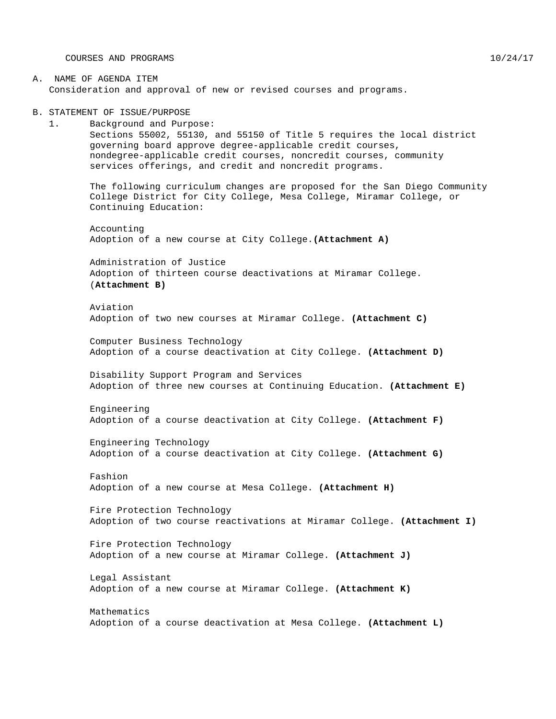COURSES AND PROGRAMS 10/24/17

### A. NAME OF AGENDA ITEM Consideration and approval of new or revised courses and programs.

B. STATEMENT OF ISSUE/PURPOSE

1. Background and Purpose: Sections 55002, 55130, and 55150 of Title 5 requires the local district governing board approve degree-applicable credit courses, nondegree-applicable credit courses, noncredit courses, community services offerings, and credit and noncredit programs.

The following curriculum changes are proposed for the San Diego Community College District for City College, Mesa College, Miramar College, or Continuing Education:

Accounting Adoption of a new course at City College.**(Attachment A)**

Administration of Justice Adoption of thirteen course deactivations at Miramar College. (**Attachment B)**

Aviation Adoption of two new courses at Miramar College. **(Attachment C)**

Computer Business Technology Adoption of a course deactivation at City College. **(Attachment D)**

Disability Support Program and Services Adoption of three new courses at Continuing Education. **(Attachment E)**

Engineering Adoption of a course deactivation at City College. **(Attachment F)**

Engineering Technology Adoption of a course deactivation at City College. **(Attachment G)**

Fashion Adoption of a new course at Mesa College. **(Attachment H)**

Fire Protection Technology Adoption of two course reactivations at Miramar College. **(Attachment I)**

Fire Protection Technology Adoption of a new course at Miramar College. **(Attachment J)**

Legal Assistant Adoption of a new course at Miramar College. **(Attachment K)**

Mathematics Adoption of a course deactivation at Mesa College. **(Attachment L)**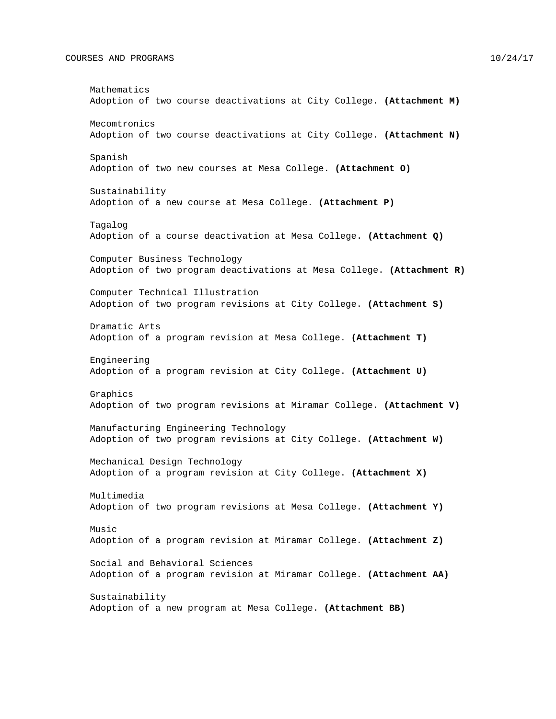#### COURSES AND PROGRAMS 10/24/17

Mathematics Adoption of two course deactivations at City College. **(Attachment M)** Mecomtronics Adoption of two course deactivations at City College. **(Attachment N)** Spanish Adoption of two new courses at Mesa College. **(Attachment O)** Sustainability Adoption of a new course at Mesa College. **(Attachment P)** Tagalog Adoption of a course deactivation at Mesa College. **(Attachment Q)** Computer Business Technology Adoption of two program deactivations at Mesa College. **(Attachment R)** Computer Technical Illustration Adoption of two program revisions at City College. **(Attachment S)** Dramatic Arts Adoption of a program revision at Mesa College. **(Attachment T)** Engineering Adoption of a program revision at City College. **(Attachment U)** Graphics Adoption of two program revisions at Miramar College. **(Attachment V)** Manufacturing Engineering Technology Adoption of two program revisions at City College. **(Attachment W)** Mechanical Design Technology Adoption of a program revision at City College. **(Attachment X)** Multimedia Adoption of two program revisions at Mesa College. **(Attachment Y)** Music Adoption of a program revision at Miramar College. **(Attachment Z)** Social and Behavioral Sciences Adoption of a program revision at Miramar College. **(Attachment AA)** Sustainability Adoption of a new program at Mesa College. **(Attachment BB)**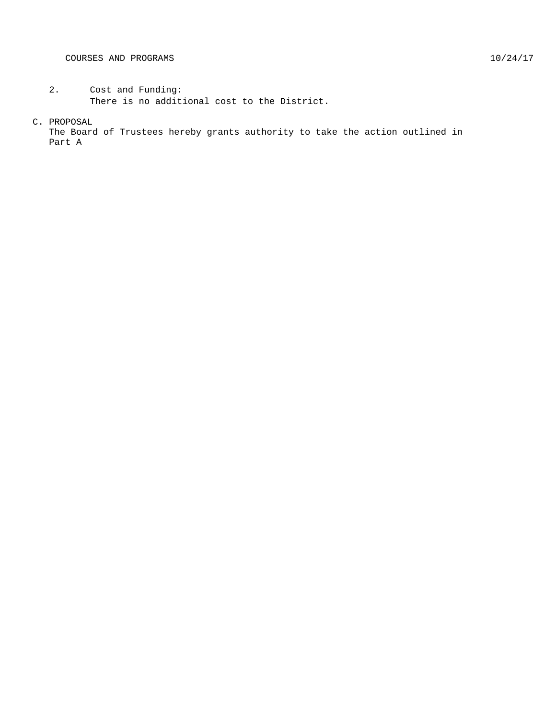#### C. PROPOSAL

The Board of Trustees hereby grants authority to take the action outlined in Part A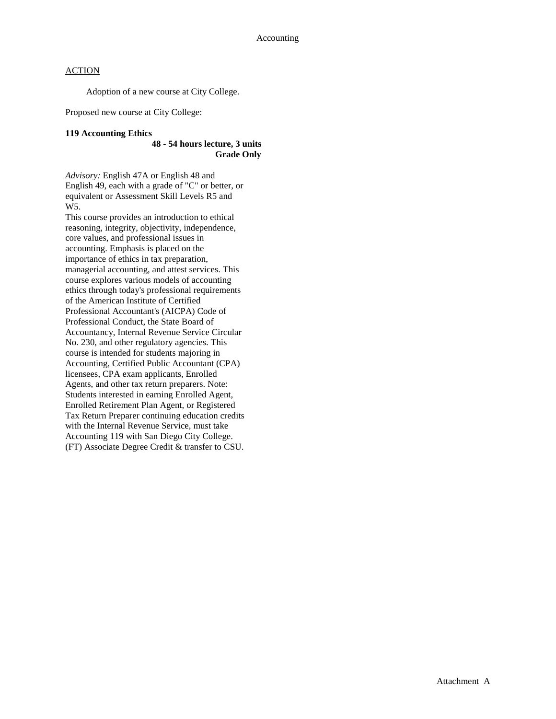Adoption of a new course at City College.

Proposed new course at City College:

## **119 Accounting Ethics**

### **48 - 54 hours lecture, 3 units Grade Only**

*Advisory:* English 47A or English 48 and English 49, each with a grade of "C" or better, or equivalent or Assessment Skill Levels R5 and W5.

This course provides an introduction to ethical reasoning, integrity, objectivity, independence, core values, and professional issues in accounting. Emphasis is placed on the importance of ethics in tax preparation, managerial accounting, and attest services. This course explores various models of accounting ethics through today's professional requirements of the American Institute of Certified Professional Accountant's (AICPA) Code of Professional Conduct, the State Board of Accountancy, Internal Revenue Service Circular No. 230, and other regulatory agencies. This course is intended for students majoring in Accounting, Certified Public Accountant (CPA) licensees, CPA exam applicants, Enrolled Agents, and other tax return preparers. Note: Students interested in earning Enrolled Agent, Enrolled Retirement Plan Agent, or Registered Tax Return Preparer continuing education credits with the Internal Revenue Service, must take Accounting 119 with San Diego City College. (FT) Associate Degree Credit & transfer to CSU.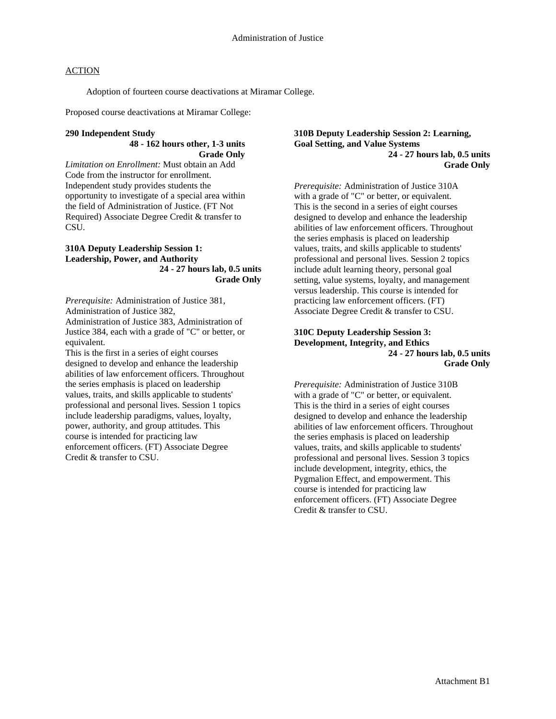Adoption of fourteen course deactivations at Miramar College.

Proposed course deactivations at Miramar College:

#### **290 Independent Study**

#### **48 - 162 hours other, 1-3 units Grade Only**

*Limitation on Enrollment:* Must obtain an Add Code from the instructor for enrollment. Independent study provides students the opportunity to investigate of a special area within the field of Administration of Justice. (FT Not Required) Associate Degree Credit & transfer to CSU.

#### **310A Deputy Leadership Session 1: Leadership, Power, and Authority 24 - 27 hours lab, 0.5 units Grade Only**

*Prerequisite:* Administration of Justice 381, Administration of Justice 382,

Administration of Justice 383, Administration of Justice 384, each with a grade of "C" or better, or equivalent.

This is the first in a series of eight courses designed to develop and enhance the leadership abilities of law enforcement officers. Throughout the series emphasis is placed on leadership values, traits, and skills applicable to students' professional and personal lives. Session 1 topics include leadership paradigms, values, loyalty, power, authority, and group attitudes. This course is intended for practicing law enforcement officers. (FT) Associate Degree Credit & transfer to CSU.

#### **310B Deputy Leadership Session 2: Learning, Goal Setting, and Value Systems 24 - 27 hours lab, 0.5 units Grade Only**

*Prerequisite:* Administration of Justice 310A with a grade of "C" or better, or equivalent. This is the second in a series of eight courses designed to develop and enhance the leadership abilities of law enforcement officers. Throughout the series emphasis is placed on leadership values, traits, and skills applicable to students' professional and personal lives. Session 2 topics include adult learning theory, personal goal setting, value systems, loyalty, and management versus leadership. This course is intended for practicing law enforcement officers. (FT) Associate Degree Credit & transfer to CSU.

#### **310C Deputy Leadership Session 3: Development, Integrity, and Ethics 24 - 27 hours lab, 0.5 units Grade Only**

*Prerequisite:* Administration of Justice 310B with a grade of "C" or better, or equivalent. This is the third in a series of eight courses designed to develop and enhance the leadership abilities of law enforcement officers. Throughout the series emphasis is placed on leadership values, traits, and skills applicable to students' professional and personal lives. Session 3 topics include development, integrity, ethics, the Pygmalion Effect, and empowerment. This course is intended for practicing law enforcement officers. (FT) Associate Degree Credit & transfer to CSU.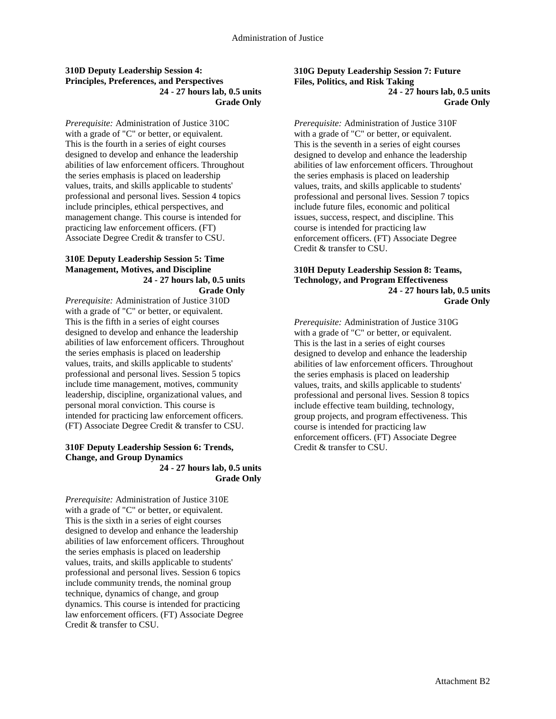### **310D Deputy Leadership Session 4: Principles, Preferences, and Perspectives 24 - 27 hours lab, 0.5 units Grade Only**

*Prerequisite:* Administration of Justice 310C with a grade of "C" or better, or equivalent. This is the fourth in a series of eight courses designed to develop and enhance the leadership abilities of law enforcement officers. Throughout the series emphasis is placed on leadership values, traits, and skills applicable to students' professional and personal lives. Session 4 topics include principles, ethical perspectives, and management change. This course is intended for practicing law enforcement officers. (FT) Associate Degree Credit & transfer to CSU.

#### **310E Deputy Leadership Session 5: Time Management, Motives, and Discipline 24 - 27 hours lab, 0.5 units Grade Only**

*Prerequisite:* Administration of Justice 310D with a grade of "C" or better, or equivalent. This is the fifth in a series of eight courses designed to develop and enhance the leadership abilities of law enforcement officers. Throughout the series emphasis is placed on leadership values, traits, and skills applicable to students' professional and personal lives. Session 5 topics include time management, motives, community leadership, discipline, organizational values, and personal moral conviction. This course is intended for practicing law enforcement officers. (FT) Associate Degree Credit & transfer to CSU.

# **310F Deputy Leadership Session 6: Trends, Change, and Group Dynamics**

**24 - 27 hours lab, 0.5 units Grade Only**

*Prerequisite:* Administration of Justice 310E with a grade of "C" or better, or equivalent. This is the sixth in a series of eight courses designed to develop and enhance the leadership abilities of law enforcement officers. Throughout the series emphasis is placed on leadership values, traits, and skills applicable to students' professional and personal lives. Session 6 topics include community trends, the nominal group technique, dynamics of change, and group dynamics. This course is intended for practicing law enforcement officers. (FT) Associate Degree Credit & transfer to CSU.

**310G Deputy Leadership Session 7: Future Files, Politics, and Risk Taking 24 - 27 hours lab, 0.5 units Grade Only**

*Prerequisite:* Administration of Justice 310F with a grade of "C" or better, or equivalent. This is the seventh in a series of eight courses designed to develop and enhance the leadership abilities of law enforcement officers. Throughout the series emphasis is placed on leadership values, traits, and skills applicable to students' professional and personal lives. Session 7 topics include future files, economic and political issues, success, respect, and discipline. This course is intended for practicing law enforcement officers. (FT) Associate Degree Credit & transfer to CSU.

#### **310H Deputy Leadership Session 8: Teams, Technology, and Program Effectiveness 24 - 27 hours lab, 0.5 units Grade Only**

*Prerequisite:* Administration of Justice 310G with a grade of "C" or better, or equivalent. This is the last in a series of eight courses designed to develop and enhance the leadership abilities of law enforcement officers. Throughout the series emphasis is placed on leadership values, traits, and skills applicable to students' professional and personal lives. Session 8 topics include effective team building, technology, group projects, and program effectiveness. This course is intended for practicing law enforcement officers. (FT) Associate Degree Credit & transfer to CSU.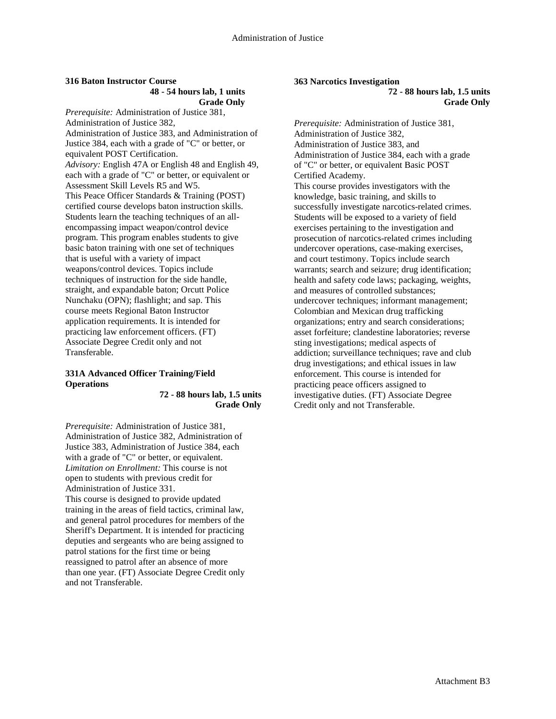#### **316 Baton Instructor Course 48 - 54 hours lab, 1 units Grade Only**

*Prerequisite:* Administration of Justice 381, Administration of Justice 382, Administration of Justice 383, and Administration of Justice 384, each with a grade of "C" or better, or equivalent POST Certification. *Advisory:* English 47A or English 48 and English 49, each with a grade of "C" or better, or equivalent or Assessment Skill Levels R5 and W5. This Peace Officer Standards & Training (POST) certified course develops baton instruction skills. Students learn the teaching techniques of an allencompassing impact weapon/control device program. This program enables students to give basic baton training with one set of techniques that is useful with a variety of impact weapons/control devices. Topics include techniques of instruction for the side handle, straight, and expandable baton; Orcutt Police Nunchaku (OPN); flashlight; and sap. This course meets Regional Baton Instructor application requirements. It is intended for practicing law enforcement officers. (FT) Associate Degree Credit only and not Transferable.

## **331A Advanced Officer Training/Field Operations**

#### **72 - 88 hours lab, 1.5 units Grade Only**

*Prerequisite:* Administration of Justice 381, Administration of Justice 382, Administration of Justice 383, Administration of Justice 384, each with a grade of "C" or better, or equivalent. *Limitation on Enrollment:* This course is not open to students with previous credit for Administration of Justice 331. This course is designed to provide updated training in the areas of field tactics, criminal law, and general patrol procedures for members of the Sheriff's Department. It is intended for practicing deputies and sergeants who are being assigned to patrol stations for the first time or being reassigned to patrol after an absence of more than one year. (FT) Associate Degree Credit only and not Transferable.

#### **363 Narcotics Investigation 72 - 88 hours lab, 1.5 units Grade Only**

*Prerequisite:* Administration of Justice 381, Administration of Justice 382, Administration of Justice 383, and Administration of Justice 384, each with a grade of "C" or better, or equivalent Basic POST Certified Academy. This course provides investigators with the knowledge, basic training, and skills to successfully investigate narcotics-related crimes. Students will be exposed to a variety of field exercises pertaining to the investigation and prosecution of narcotics-related crimes including undercover operations, case-making exercises, and court testimony. Topics include search warrants; search and seizure; drug identification; health and safety code laws; packaging, weights, and measures of controlled substances; undercover techniques; informant management; Colombian and Mexican drug trafficking organizations; entry and search considerations; asset forfeiture; clandestine laboratories; reverse sting investigations; medical aspects of addiction; surveillance techniques; rave and club drug investigations; and ethical issues in law enforcement. This course is intended for practicing peace officers assigned to investigative duties. (FT) Associate Degree Credit only and not Transferable.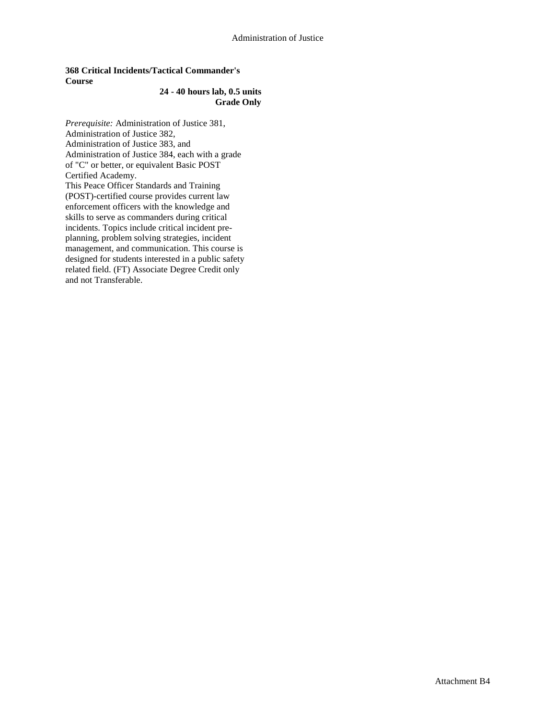## **368 Critical Incidents/Tactical Commander's Course**

### **24 - 40 hours lab, 0.5 units Grade Only**

*Prerequisite:* Administration of Justice 381, Administration of Justice 382, Administration of Justice 383, and Administration of Justice 384, each with a grade of "C" or better, or equivalent Basic POST Certified Academy. This Peace Officer Standards and Training (POST)-certified course provides current law enforcement officers with the knowledge and skills to serve as commanders during critical incidents. Topics include critical incident preplanning, problem solving strategies, incident management, and communication. This course is designed for students interested in a public safety related field. (FT) Associate Degree Credit only and not Transferable.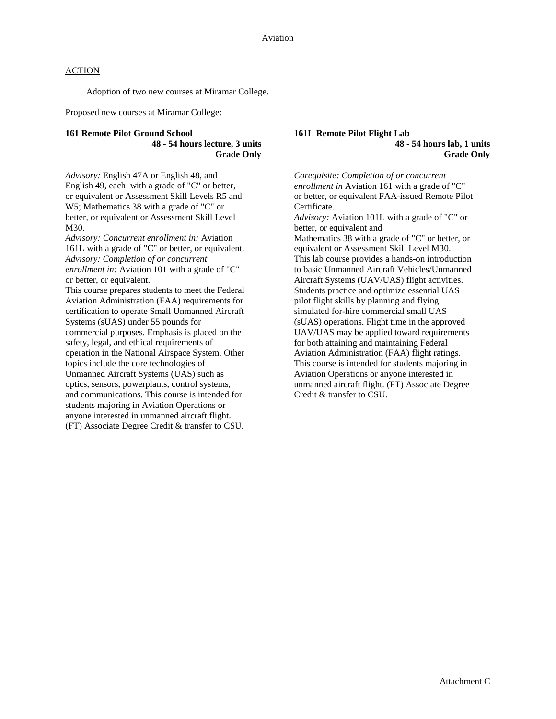Adoption of two new courses at Miramar College.

Proposed new courses at Miramar College:

#### **161 Remote Pilot Ground School 48 - 54 hours lecture, 3 units Grade Only**

*Advisory:* English 47A or English 48, and English 49, each with a grade of "C" or better, or equivalent or Assessment Skill Levels R5 and W5; Mathematics 38 with a grade of "C" or better, or equivalent or Assessment Skill Level M30.

*Advisory: Concurrent enrollment in:* Aviation 161L with a grade of "C" or better, or equivalent. *Advisory: Completion of or concurrent enrollment in:* Aviation 101 with a grade of "C" or better, or equivalent.

This course prepares students to meet the Federal Aviation Administration (FAA) requirements for certification to operate Small Unmanned Aircraft Systems (sUAS) under 55 pounds for commercial purposes. Emphasis is placed on the safety, legal, and ethical requirements of operation in the National Airspace System. Other topics include the core technologies of Unmanned Aircraft Systems (UAS) such as optics, sensors, powerplants, control systems, and communications. This course is intended for students majoring in Aviation Operations or anyone interested in unmanned aircraft flight. (FT) Associate Degree Credit & transfer to CSU.

### **161L Remote Pilot Flight Lab 48 - 54 hours lab, 1 units Grade Only**

*Corequisite: Completion of or concurrent enrollment in* Aviation 161 with a grade of "C" or better, or equivalent FAA-issued Remote Pilot Certificate. *Advisory:* Aviation 101L with a grade of "C" or better, or equivalent and Mathematics 38 with a grade of "C" or better, or equivalent or Assessment Skill Level M30. This lab course provides a hands-on introduction to basic Unmanned Aircraft Vehicles/Unmanned Aircraft Systems (UAV/UAS) flight activities. Students practice and optimize essential UAS pilot flight skills by planning and flying simulated for-hire commercial small UAS (sUAS) operations. Flight time in the approved UAV/UAS may be applied toward requirements for both attaining and maintaining Federal Aviation Administration (FAA) flight ratings. This course is intended for students majoring in Aviation Operations or anyone interested in unmanned aircraft flight. (FT) Associate Degree Credit & transfer to CSU.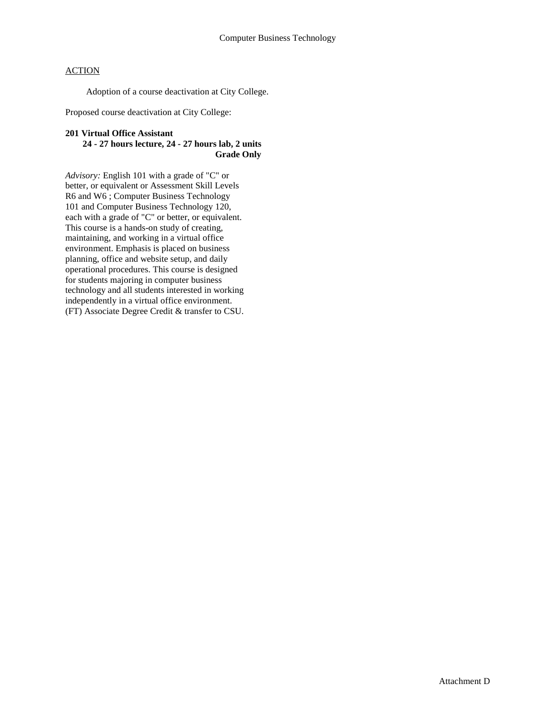Adoption of a course deactivation at City College.

Proposed course deactivation at City College:

#### **201 Virtual Office Assistant**

## **24 - 27 hours lecture, 24 - 27 hours lab, 2 units Grade Only**

*Advisory:* English 101 with a grade of "C" or better, or equivalent or Assessment Skill Levels R6 and W6 ; Computer Business Technology 101 and Computer Business Technology 120, each with a grade of "C" or better, or equivalent. This course is a hands-on study of creating, maintaining, and working in a virtual office environment. Emphasis is placed on business planning, office and website setup, and daily operational procedures. This course is designed for students majoring in computer business technology and all students interested in working independently in a virtual office environment. (FT) Associate Degree Credit & transfer to CSU.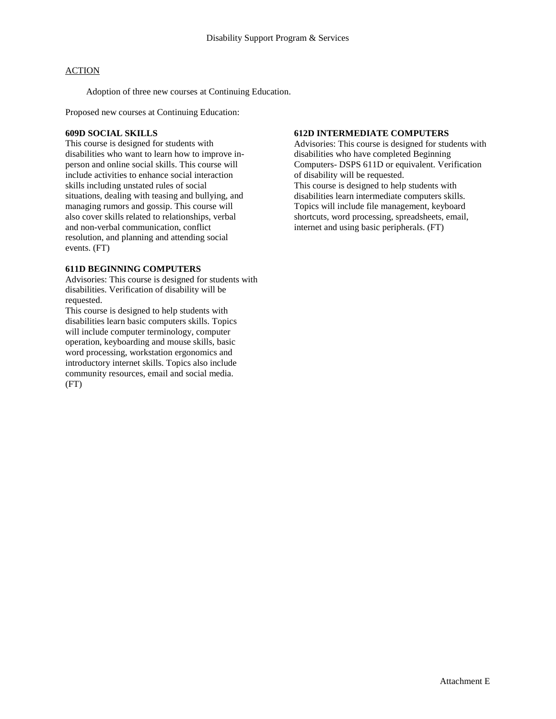Adoption of three new courses at Continuing Education.

Proposed new courses at Continuing Education:

### **609D SOCIAL SKILLS**

This course is designed for students with disabilities who want to learn how to improve inperson and online social skills. This course will include activities to enhance social interaction skills including unstated rules of social situations, dealing with teasing and bullying, and managing rumors and gossip. This course will also cover skills related to relationships, verbal and non-verbal communication, conflict resolution, and planning and attending social events. (FT)

## **611D BEGINNING COMPUTERS**

Advisories: This course is designed for students with disabilities. Verification of disability will be requested.

This course is designed to help students with disabilities learn basic computers skills. Topics will include computer terminology, computer operation, keyboarding and mouse skills, basic word processing, workstation ergonomics and introductory internet skills. Topics also include community resources, email and social media. (FT)

# **612D INTERMEDIATE COMPUTERS**

Advisories: This course is designed for students with disabilities who have completed Beginning Computers- DSPS 611D or equivalent. Verification of disability will be requested. This course is designed to help students with disabilities learn intermediate computers skills. Topics will include file management, keyboard shortcuts, word processing, spreadsheets, email, internet and using basic peripherals. (FT)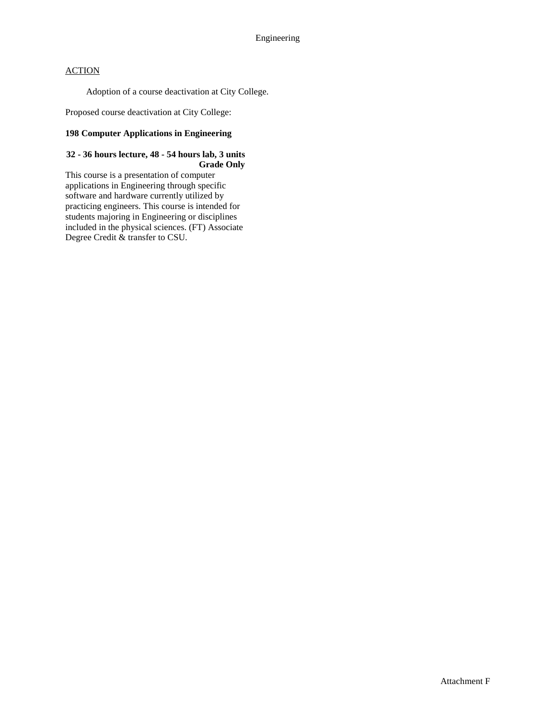Adoption of a course deactivation at City College.

Proposed course deactivation at City College:

## **198 Computer Applications in Engineering**

### **32 - 36 hours lecture, 48 - 54 hours lab, 3 units Grade Only**

This course is a presentation of computer applications in Engineering through specific software and hardware currently utilized by practicing engineers. This course is intended for students majoring in Engineering or disciplines included in the physical sciences. (FT) Associate Degree Credit & transfer to CSU.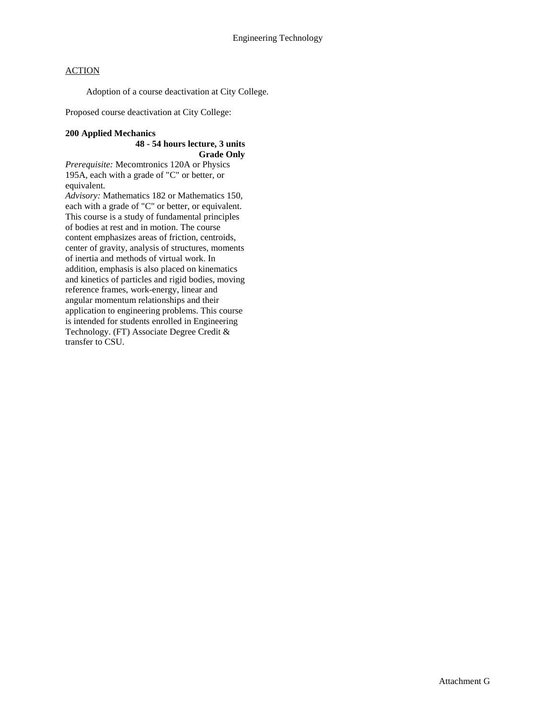Adoption of a course deactivation at City College.

Proposed course deactivation at City College:

### **200 Applied Mechanics**

## **48 - 54 hours lecture, 3 units Grade Only**

*Prerequisite:* Mecomtronics 120A or Physics 195A, each with a grade of "C" or better, or equivalent.

*Advisory:* Mathematics 182 or Mathematics 150, each with a grade of "C" or better, or equivalent. This course is a study of fundamental principles of bodies at rest and in motion. The course content emphasizes areas of friction, centroids, center of gravity, analysis of structures, moments of inertia and methods of virtual work. In addition, emphasis is also placed on kinematics and kinetics of particles and rigid bodies, moving reference frames, work-energy, linear and angular momentum relationships and their application to engineering problems. This course is intended for students enrolled in Engineering Technology. (FT) Associate Degree Credit & transfer to CSU.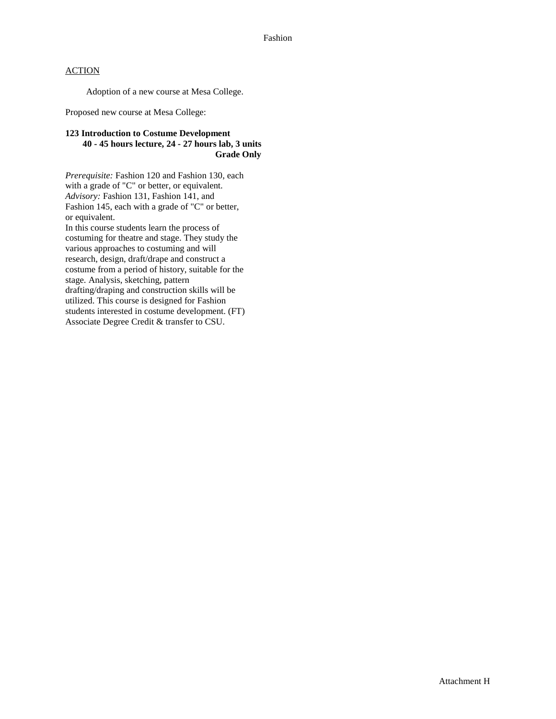Adoption of a new course at Mesa College.

Proposed new course at Mesa College:

## **123 Introduction to Costume Development 40 - 45 hours lecture, 24 - 27 hours lab, 3 units Grade Only**

*Prerequisite:* Fashion 120 and Fashion 130, each with a grade of "C" or better, or equivalent. *Advisory:* Fashion 131, Fashion 141, and Fashion 145, each with a grade of "C" or better, or equivalent.

In this course students learn the process of costuming for theatre and stage. They study the various approaches to costuming and will research, design, draft/drape and construct a costume from a period of history, suitable for the stage. Analysis, sketching, pattern drafting/draping and construction skills will be utilized. This course is designed for Fashion students interested in costume development. (FT) Associate Degree Credit & transfer to CSU.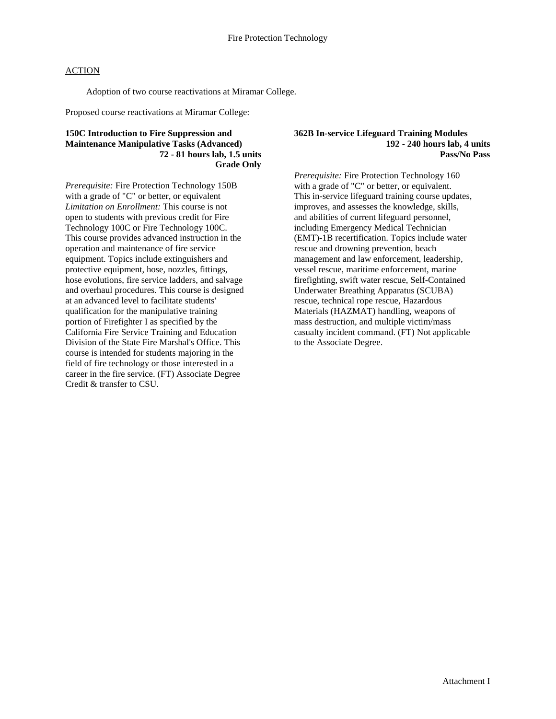Adoption of two course reactivations at Miramar College.

Proposed course reactivations at Miramar College:

### **150C Introduction to Fire Suppression and Maintenance Manipulative Tasks (Advanced) 72 - 81 hours lab, 1.5 units Grade Only**

*Prerequisite:* Fire Protection Technology 150B with a grade of "C" or better, or equivalent *Limitation on Enrollment:* This course is not open to students with previous credit for Fire Technology 100C or Fire Technology 100C. This course provides advanced instruction in the operation and maintenance of fire service equipment. Topics include extinguishers and protective equipment, hose, nozzles, fittings, hose evolutions, fire service ladders, and salvage and overhaul procedures. This course is designed at an advanced level to facilitate students' qualification for the manipulative training portion of Firefighter I as specified by the California Fire Service Training and Education Division of the State Fire Marshal's Office. This course is intended for students majoring in the field of fire technology or those interested in a career in the fire service. (FT) Associate Degree Credit & transfer to CSU.

#### **362B In-service Lifeguard Training Modules 192 - 240 hours lab, 4 units Pass/No Pass**

*Prerequisite:* Fire Protection Technology 160 with a grade of "C" or better, or equivalent. This in-service lifeguard training course updates, improves, and assesses the knowledge, skills, and abilities of current lifeguard personnel, including Emergency Medical Technician (EMT)-1B recertification. Topics include water rescue and drowning prevention, beach management and law enforcement, leadership, vessel rescue, maritime enforcement, marine firefighting, swift water rescue, Self-Contained Underwater Breathing Apparatus (SCUBA) rescue, technical rope rescue, Hazardous Materials (HAZMAT) handling, weapons of mass destruction, and multiple victim/mass casualty incident command. (FT) Not applicable to the Associate Degree.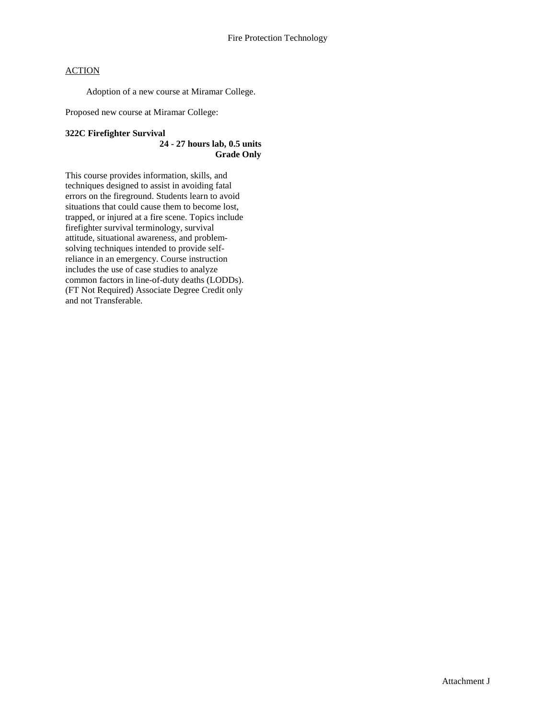Adoption of a new course at Miramar College.

Proposed new course at Miramar College:

#### **322C Firefighter Survival**

### **24 - 27 hours lab, 0.5 units Grade Only**

This course provides information, skills, and techniques designed to assist in avoiding fatal errors on the fireground. Students learn to avoid situations that could cause them to become lost, trapped, or injured at a fire scene. Topics include firefighter survival terminology, survival attitude, situational awareness, and problemsolving techniques intended to provide selfreliance in an emergency. Course instruction includes the use of case studies to analyze common factors in line-of-duty deaths (LODDs). (FT Not Required) Associate Degree Credit only and not Transferable.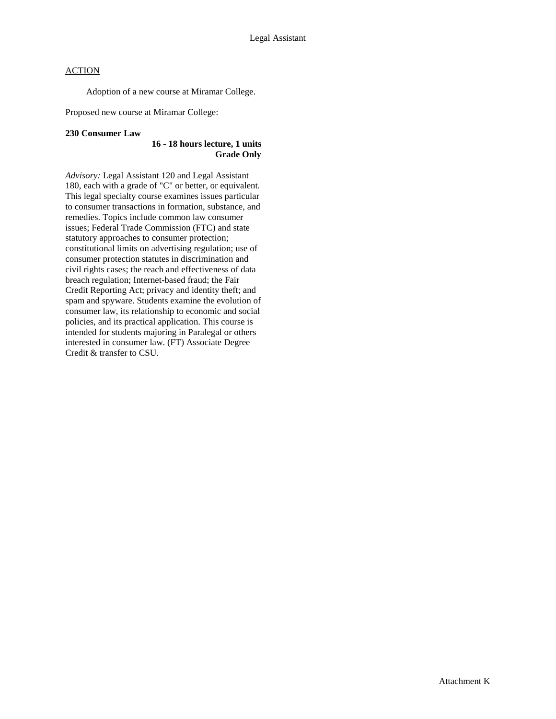Adoption of a new course at Miramar College.

Proposed new course at Miramar College:

#### **230 Consumer Law**

### **16 - 18 hours lecture, 1 units Grade Only**

*Advisory:* Legal Assistant 120 and Legal Assistant 180, each with a grade of "C" or better, or equivalent. This legal specialty course examines issues particular to consumer transactions in formation, substance, and remedies. Topics include common law consumer issues; Federal Trade Commission (FTC) and state statutory approaches to consumer protection; constitutional limits on advertising regulation; use of consumer protection statutes in discrimination and civil rights cases; the reach and effectiveness of data breach regulation; Internet-based fraud; the Fair Credit Reporting Act; privacy and identity theft; and spam and spyware. Students examine the evolution of consumer law, its relationship to economic and social policies, and its practical application. This course is intended for students majoring in Paralegal or others interested in consumer law. (FT) Associate Degree Credit & transfer to CSU.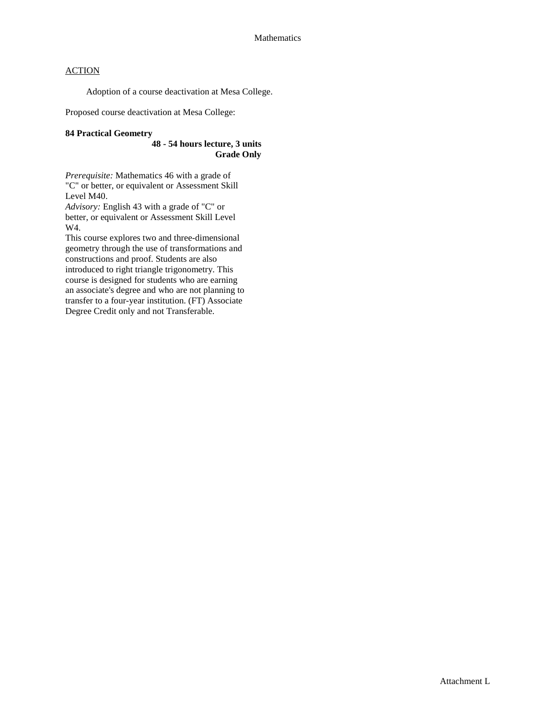Adoption of a course deactivation at Mesa College.

Proposed course deactivation at Mesa College:

#### **84 Practical Geometry**

**48 - 54 hours lecture, 3 units Grade Only**

*Prerequisite:* Mathematics 46 with a grade of "C" or better, or equivalent or Assessment Skill Level M40.

*Advisory:* English 43 with a grade of "C" or better, or equivalent or Assessment Skill Level W4.

This course explores two and three-dimensional geometry through the use of transformations and constructions and proof. Students are also introduced to right triangle trigonometry. This course is designed for students who are earning an associate's degree and who are not planning to transfer to a four-year institution. (FT) Associate Degree Credit only and not Transferable.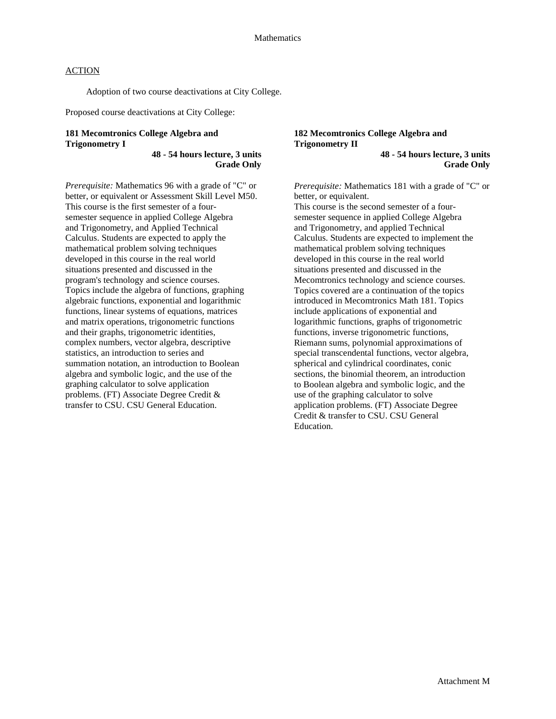Adoption of two course deactivations at City College.

Proposed course deactivations at City College:

# **181 Mecomtronics College Algebra and Trigonometry I**

**48 - 54 hours lecture, 3 units Grade Only**

*Prerequisite:* Mathematics 96 with a grade of "C" or better, or equivalent or Assessment Skill Level M50. This course is the first semester of a foursemester sequence in applied College Algebra and Trigonometry, and Applied Technical Calculus. Students are expected to apply the mathematical problem solving techniques developed in this course in the real world situations presented and discussed in the program's technology and science courses. Topics include the algebra of functions, graphing algebraic functions, exponential and logarithmic functions, linear systems of equations, matrices and matrix operations, trigonometric functions and their graphs, trigonometric identities, complex numbers, vector algebra, descriptive statistics, an introduction to series and summation notation, an introduction to Boolean algebra and symbolic logic, and the use of the graphing calculator to solve application problems. (FT) Associate Degree Credit & transfer to CSU. CSU General Education.

# **182 Mecomtronics College Algebra and Trigonometry II**

**48 - 54 hours lecture, 3 units Grade Only**

*Prerequisite:* Mathematics 181 with a grade of "C" or better, or equivalent.

This course is the second semester of a foursemester sequence in applied College Algebra and Trigonometry, and applied Technical Calculus. Students are expected to implement the mathematical problem solving techniques developed in this course in the real world situations presented and discussed in the Mecomtronics technology and science courses. Topics covered are a continuation of the topics introduced in Mecomtronics Math 181. Topics include applications of exponential and logarithmic functions, graphs of trigonometric functions, inverse trigonometric functions, Riemann sums, polynomial approximations of special transcendental functions, vector algebra, spherical and cylindrical coordinates, conic sections, the binomial theorem, an introduction to Boolean algebra and symbolic logic, and the use of the graphing calculator to solve application problems. (FT) Associate Degree Credit & transfer to CSU. CSU General Education.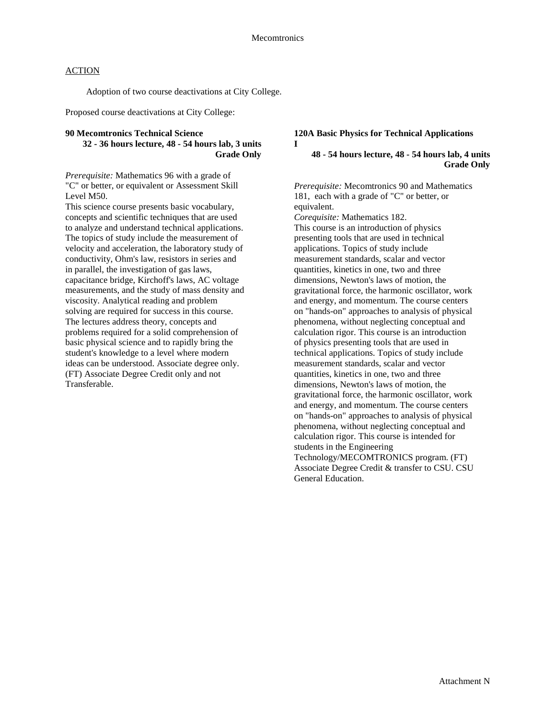Adoption of two course deactivations at City College.

Proposed course deactivations at City College:

## **90 Mecomtronics Technical Science**

**32 - 36 hours lecture, 48 - 54 hours lab, 3 units Grade Only**

*Prerequisite:* Mathematics 96 with a grade of "C" or better, or equivalent or Assessment Skill Level M50.

This science course presents basic vocabulary, concepts and scientific techniques that are used to analyze and understand technical applications. The topics of study include the measurement of velocity and acceleration, the laboratory study of conductivity, Ohm's law, resistors in series and in parallel, the investigation of gas laws, capacitance bridge, Kirchoff's laws, AC voltage measurements, and the study of mass density and viscosity. Analytical reading and problem solving are required for success in this course. The lectures address theory, concepts and problems required for a solid comprehension of basic physical science and to rapidly bring the student's knowledge to a level where modern ideas can be understood. Associate degree only. (FT) Associate Degree Credit only and not Transferable.

## **120A Basic Physics for Technical Applications I**

## **48 - 54 hours lecture, 48 - 54 hours lab, 4 units Grade Only**

*Prerequisite:* Mecomtronics 90 and Mathematics 181, each with a grade of "C" or better, or equivalent.

*Corequisite:* Mathematics 182. This course is an introduction of physics presenting tools that are used in technical applications. Topics of study include measurement standards, scalar and vector quantities, kinetics in one, two and three dimensions, Newton's laws of motion, the gravitational force, the harmonic oscillator, work and energy, and momentum. The course centers on "hands-on" approaches to analysis of physical phenomena, without neglecting conceptual and calculation rigor. This course is an introduction of physics presenting tools that are used in technical applications. Topics of study include measurement standards, scalar and vector quantities, kinetics in one, two and three dimensions, Newton's laws of motion, the gravitational force, the harmonic oscillator, work and energy, and momentum. The course centers on "hands-on" approaches to analysis of physical phenomena, without neglecting conceptual and calculation rigor. This course is intended for students in the Engineering Technology/MECOMTRONICS program. (FT) Associate Degree Credit & transfer to CSU. CSU General Education.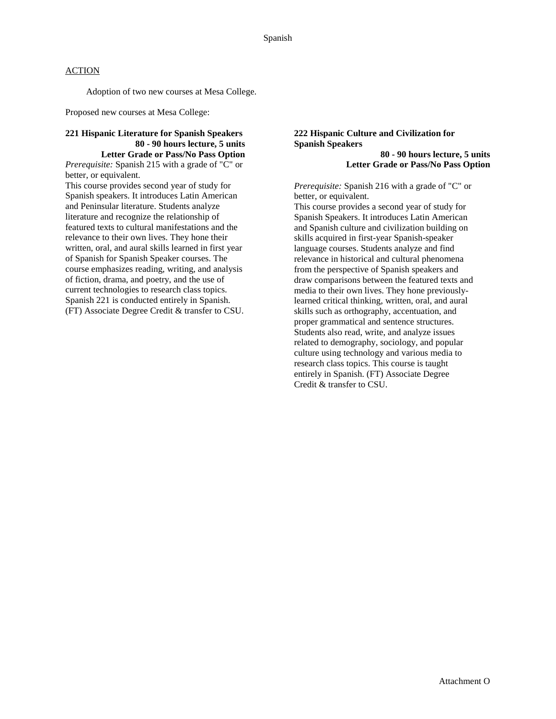Adoption of two new courses at Mesa College.

Proposed new courses at Mesa College:

## **221 Hispanic Literature for Spanish Speakers 80 - 90 hours lecture, 5 units Letter Grade or Pass/No Pass Option**

*Prerequisite:* Spanish 215 with a grade of "C" or better, or equivalent.

This course provides second year of study for Spanish speakers. It introduces Latin American and Peninsular literature. Students analyze literature and recognize the relationship of featured texts to cultural manifestations and the relevance to their own lives. They hone their written, oral, and aural skills learned in first year of Spanish for Spanish Speaker courses. The course emphasizes reading, writing, and analysis of fiction, drama, and poetry, and the use of current technologies to research class topics. Spanish 221 is conducted entirely in Spanish. (FT) Associate Degree Credit & transfer to CSU.

### **222 Hispanic Culture and Civilization for Spanish Speakers**

**80 - 90 hours lecture, 5 units Letter Grade or Pass/No Pass Option**

*Prerequisite:* Spanish 216 with a grade of "C" or better, or equivalent.

This course provides a second year of study for Spanish Speakers. It introduces Latin American and Spanish culture and civilization building on skills acquired in first-year Spanish-speaker language courses. Students analyze and find relevance in historical and cultural phenomena from the perspective of Spanish speakers and draw comparisons between the featured texts and media to their own lives. They hone previouslylearned critical thinking, written, oral, and aural skills such as orthography, accentuation, and proper grammatical and sentence structures. Students also read, write, and analyze issues related to demography, sociology, and popular culture using technology and various media to research class topics. This course is taught entirely in Spanish. (FT) Associate Degree Credit & transfer to CSU.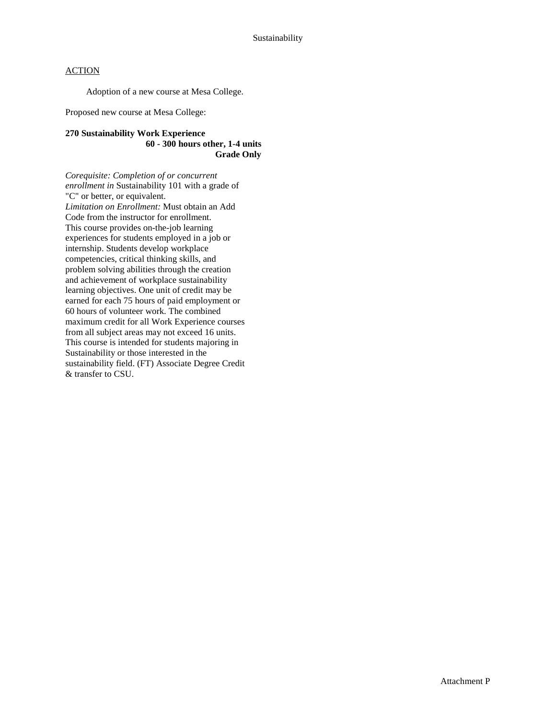Adoption of a new course at Mesa College.

Proposed new course at Mesa College:

### **270 Sustainability Work Experience 60 - 300 hours other, 1-4 units Grade Only**

*Corequisite: Completion of or concurrent enrollment in* Sustainability 101 with a grade of "C" or better, or equivalent. *Limitation on Enrollment:* Must obtain an Add Code from the instructor for enrollment. This course provides on-the-job learning experiences for students employed in a job or internship. Students develop workplace competencies, critical thinking skills, and problem solving abilities through the creation and achievement of workplace sustainability learning objectives. One unit of credit may be earned for each 75 hours of paid employment or 60 hours of volunteer work. The combined maximum credit for all Work Experience courses from all subject areas may not exceed 16 units. This course is intended for students majoring in Sustainability or those interested in the sustainability field. (FT) Associate Degree Credit & transfer to CSU.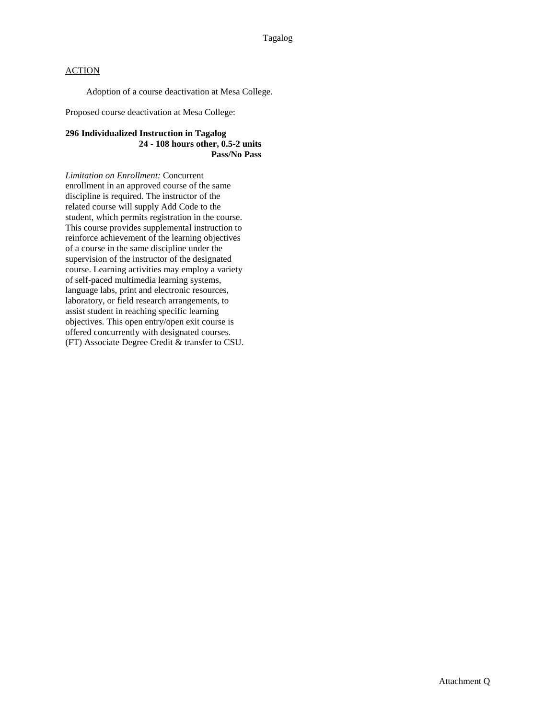Adoption of a course deactivation at Mesa College.

Proposed course deactivation at Mesa College:

#### **296 Individualized Instruction in Tagalog 24 - 108 hours other, 0.5-2 units Pass/No Pass**

*Limitation on Enrollment:* Concurrent enrollment in an approved course of the same discipline is required. The instructor of the related course will supply Add Code to the student, which permits registration in the course. This course provides supplemental instruction to reinforce achievement of the learning objectives of a course in the same discipline under the supervision of the instructor of the designated course. Learning activities may employ a variety of self-paced multimedia learning systems, language labs, print and electronic resources, laboratory, or field research arrangements, to assist student in reaching specific learning objectives. This open entry/open exit course is offered concurrently with designated courses. (FT) Associate Degree Credit & transfer to CSU.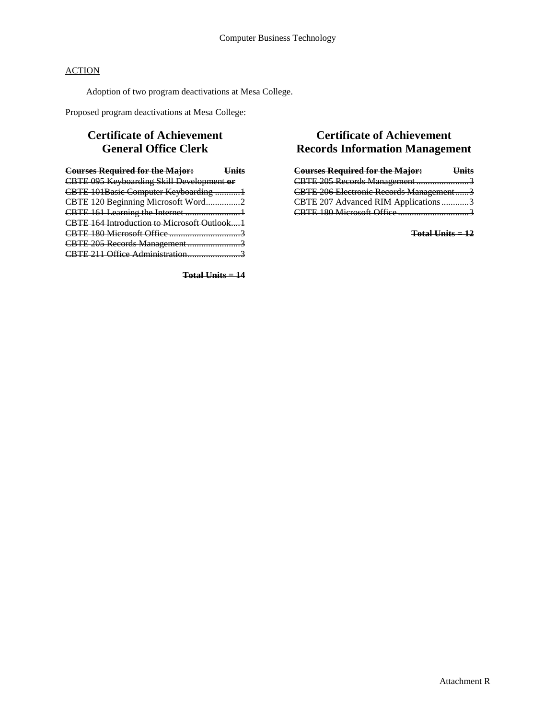Adoption of two program deactivations at Mesa College.

Proposed program deactivations at Mesa College:

# **Certificate of Achievement General Office Clerk**

| <b>Courses Required for the Major:</b> Units |  |
|----------------------------------------------|--|
| CBTE 095 Keyboarding Skill Development or    |  |
| CBTE 101Basic Computer Keyboarding 1         |  |
| CBTE 120 Beginning Microsoft Word2           |  |
| CBTE 161 Learning the Internet 1             |  |
| CBTE 164 Introduction to Microsoft Outlook1  |  |
|                                              |  |
| CBTE 205 Records Management 3                |  |
|                                              |  |
|                                              |  |

**Total Units = 14**

# **Certificate of Achievement Records Information Management**

| <b>Courses Required for the Major:</b>  | <b>Units</b> |
|-----------------------------------------|--------------|
| CBTE 205 Records Management3            |              |
| CBTE 206 Electronic Records Management3 |              |
| CBTE 207 Advanced RIM Applications3     |              |
|                                         |              |

**Total Units = 12**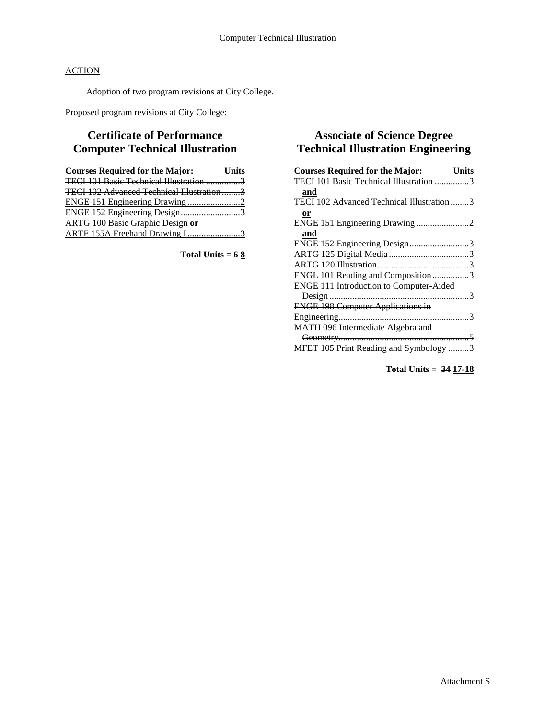Adoption of two program revisions at City College.

Proposed program revisions at City College:

# **Certificate of Performance Computer Technical Illustration**

| <b>Courses Required for the Major:</b>    | <b>Units</b> |
|-------------------------------------------|--------------|
|                                           |              |
| TECI 102 Advanced Technical Illustration3 |              |
|                                           |              |
|                                           |              |
| <b>ARTG 100 Basic Graphic Design or</b>   |              |
| ARTF 155A Freehand Drawing I3             |              |

**Total Units = 6 8**

# **Associate of Science Degree Technical Illustration Engineering**

| <b>Courses Required for the Major:</b>     | Units |
|--------------------------------------------|-------|
| TECI 101 Basic Technical Illustration 3    |       |
| and                                        |       |
| TECI 102 Advanced Technical Illustration 3 |       |
| or                                         |       |
|                                            |       |
| and                                        |       |
| ENGE 152 Engineering Design3               |       |
|                                            |       |
|                                            |       |
| ENGL 101 Reading and Composition3          |       |
| ENGE 111 Introduction to Computer-Aided    |       |
|                                            |       |
| <b>ENGE 198 Computer Applications in</b>   |       |
|                                            |       |
| MATH 096 Intermediate Algebra and          |       |
|                                            |       |
| MFET 105 Print Reading and Symbology 3     |       |
|                                            |       |

**Total Units = 34 17-18**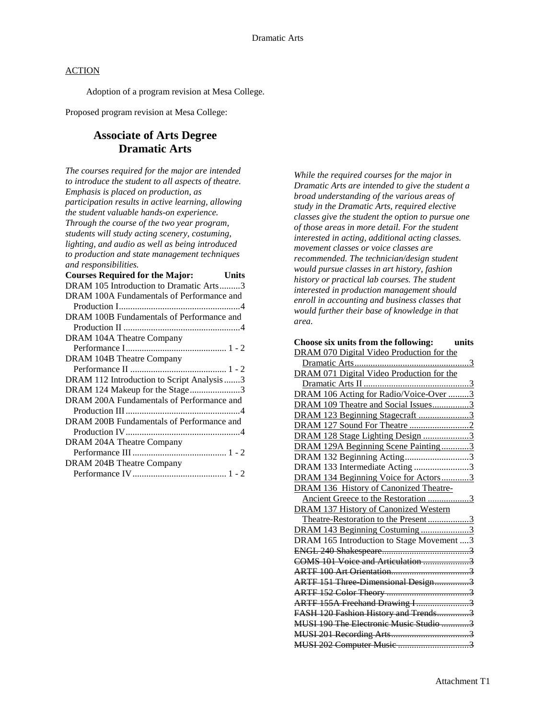Adoption of a program revision at Mesa College.

Proposed program revision at Mesa College:

# **Associate of Arts Degree Dramatic Arts**

*The courses required for the major are intended to introduce the student to all aspects of theatre. Emphasis is placed on production, as participation results in active learning, allowing the student valuable hands-on experience. Through the course of the two year program, students will study acting scenery, costuming, lighting, and audio as well as being introduced to production and state management techniques and responsibilities.*

| <b>Courses Required for the Major:</b><br><b>Units</b> |
|--------------------------------------------------------|
| DRAM 105 Introduction to Dramatic Arts3                |
| DRAM 100A Fundamentals of Performance and              |
|                                                        |
| DRAM 100B Fundamentals of Performance and              |
|                                                        |
| DRAM 104A Theatre Company                              |
|                                                        |
| DRAM 104B Theatre Company                              |
|                                                        |
| DRAM 112 Introduction to Script Analysis 3             |
| DRAM 124 Makeup for the Stage3                         |
| DRAM 200A Fundamentals of Performance and              |
|                                                        |
| DRAM 200B Fundamentals of Performance and              |
|                                                        |
| DRAM 204A Theatre Company                              |
|                                                        |
| DRAM 204B Theatre Company                              |
|                                                        |
|                                                        |

*While the required courses for the major in Dramatic Arts are intended to give the student a broad understanding of the various areas of study in the Dramatic Arts, required elective classes give the student the option to pursue one of those areas in more detail. For the student interested in acting, additional acting classes. movement classes or voice classes are recommended. The technician/design student would pursue classes in art history, fashion history or practical lab courses. The student interested in production management should enroll in accounting and business classes that would further their base of knowledge in that area.*

| Choose six units from the following:<br>units |
|-----------------------------------------------|
| DRAM 070 Digital Video Production for the     |
|                                               |
| DRAM 071 Digital Video Production for the     |
|                                               |
| DRAM 106 Acting for Radio/Voice-Over 3        |
| DRAM 109 Theatre and Social Issues3           |
| DRAM 123 Beginning Stagecraft 3               |
|                                               |
| DRAM 128 Stage Lighting Design 3              |
| DRAM 129A Beginning Scene Painting3           |
| DRAM 132 Beginning Acting3                    |
| DRAM 133 Intermediate Acting 3                |
| DRAM 134 Beginning Voice for Actors3          |
| DRAM 136 History of Canonized Theatre-        |
| Ancient Greece to the Restoration 3           |
| <b>DRAM 137 History of Canonized Western</b>  |
| Theatre-Restoration to the Present3           |
| DRAM 143 Beginning Costuming 3                |
| DRAM 165 Introduction to Stage Movement 3     |
|                                               |
| COMS 101 Voice and Articulation 3             |
| <b>ARTF 100 Art Orientation</b>               |
| ARTF 151 Three Dimensional Design3            |
|                                               |
| ARTF 155A Freehand Drawing I3                 |
| FASH 120 Fashion History and Trends3          |
| MUSI 190 The Electronic Music Studio 3        |
|                                               |
|                                               |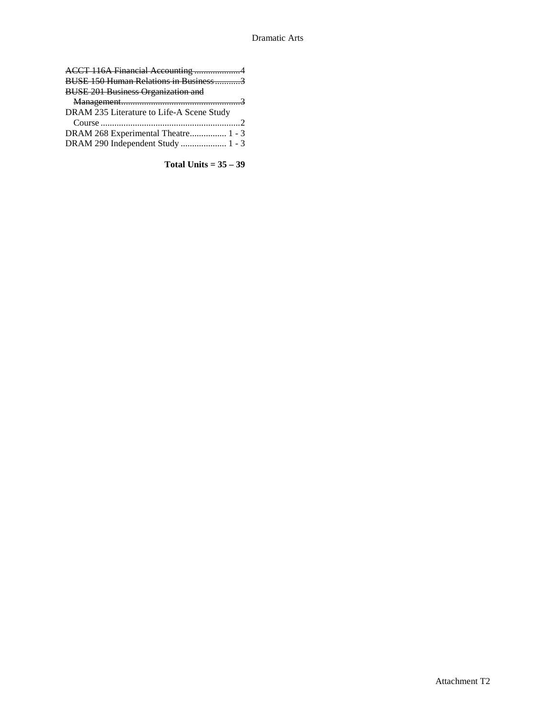| ACCT 116A Financial Accounting 4          |
|-------------------------------------------|
| BUSE 150 Human Relations in Business3     |
| <b>BUSE 201 Business Organization and</b> |
|                                           |
| DRAM 235 Literature to Life-A Scene Study |
|                                           |
| DRAM 268 Experimental Theatre 1 - 3       |
| DRAM 290 Independent Study  1 - 3         |

**Total Units = 35 – 39**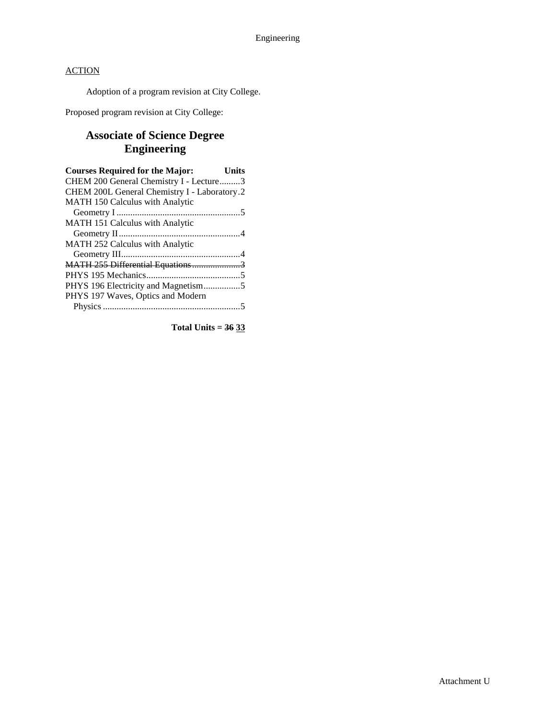Adoption of a program revision at City College.

Proposed program revision at City College:

# **Associate of Science Degree Engineering**

| <b>Courses Required for the Major:</b>       | <b>Units</b> |
|----------------------------------------------|--------------|
| CHEM 200 General Chemistry I - Lecture3      |              |
| CHEM 200L General Chemistry I - Laboratory.2 |              |
| MATH 150 Calculus with Analytic              |              |
|                                              |              |
| MATH 151 Calculus with Analytic              |              |
|                                              |              |
| MATH 252 Calculus with Analytic              |              |
|                                              |              |
| MATH 255 Differential Equations3             |              |
|                                              |              |
|                                              |              |
| PHYS 197 Waves, Optics and Modern            |              |
|                                              |              |
|                                              |              |

**Total Units = 36 33**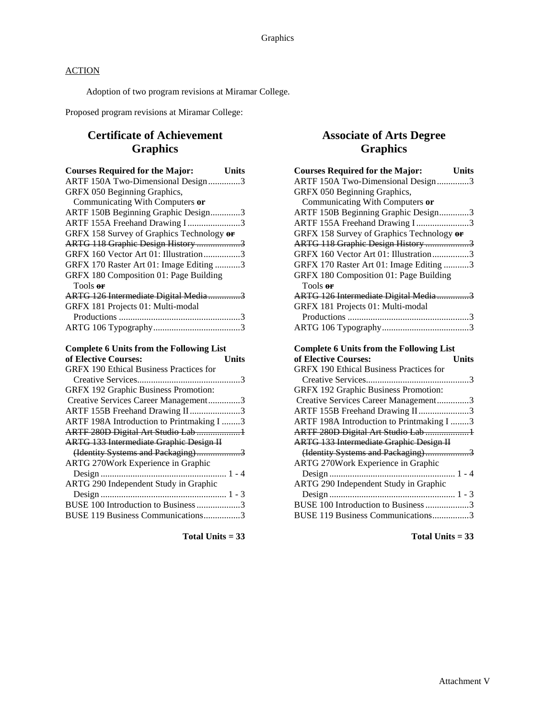Adoption of two program revisions at Miramar College.

Proposed program revisions at Miramar College:

# **Certificate of Achievement Graphics**

| <b>Courses Required for the Major:</b><br><b>Units</b>                   |  |
|--------------------------------------------------------------------------|--|
| ARTF 150A Two-Dimensional Design3                                        |  |
| GRFX 050 Beginning Graphics,                                             |  |
| Communicating With Computers or                                          |  |
| ARTF 150B Beginning Graphic Design3                                      |  |
| ARTF 155A Freehand Drawing I3                                            |  |
| GRFX 158 Survey of Graphics Technology or                                |  |
| ARTG 118 Graphic Design History 3                                        |  |
| GRFX 160 Vector Art 01: Illustration3                                    |  |
| GRFX 170 Raster Art 01: Image Editing 3                                  |  |
| GRFX 180 Composition 01: Page Building                                   |  |
| Tools or                                                                 |  |
| ARTG 126 Intermediate Digital Media3                                     |  |
| GRFX 181 Projects 01: Multi-modal                                        |  |
|                                                                          |  |
|                                                                          |  |
|                                                                          |  |
|                                                                          |  |
| <b>Complete 6 Units from the Following List</b>                          |  |
| of Elective Courses:<br><b>Units</b>                                     |  |
| <b>GRFX 190 Ethical Business Practices for</b>                           |  |
|                                                                          |  |
| GRFX 192 Graphic Business Promotion:                                     |  |
| Creative Services Career Management3                                     |  |
| ARTF 155B Freehand Drawing II3                                           |  |
| ARTF 198A Introduction to Printmaking I 3                                |  |
| ARTF 280D Digital Art Studio Lab 1                                       |  |
| <b>ARTG 133 Intermediate Graphie Design II</b>                           |  |
| (Identity Systems and Packaging)3                                        |  |
| ARTG 270Work Experience in Graphic                                       |  |
| $\ldots$ . 1 - 4                                                         |  |
| ARTG 290 Independent Study in Graphic                                    |  |
|                                                                          |  |
| BUSE 100 Introduction to Business 3<br>BUSE 119 Business Communications3 |  |

Total Units  $= 33$ 

# **Associate of Arts Degree Graphics**

| <b>Courses Required for the Major:</b><br><b>Units</b>                   |
|--------------------------------------------------------------------------|
| ARTF 150A Two-Dimensional Design3                                        |
| GRFX 050 Beginning Graphics,                                             |
| Communicating With Computers or                                          |
| ARTF 150B Beginning Graphic Design3                                      |
| ARTF 155A Freehand Drawing I3                                            |
| GRFX 158 Survey of Graphics Technology or                                |
| ARTG 118 Graphic Design History 3                                        |
| GRFX 160 Vector Art 01: Illustration3                                    |
| GRFX 170 Raster Art 01: Image Editing 3                                  |
| GRFX 180 Composition 01: Page Building                                   |
| Tools or                                                                 |
| ARTG 126 Intermediate Digital Media3                                     |
| GRFX 181 Projects 01: Multi-modal                                        |
|                                                                          |
|                                                                          |
|                                                                          |
|                                                                          |
| <b>Complete 6 Units from the Following List</b>                          |
| of Elective Courses:<br><b>Units</b>                                     |
| GRFX 190 Ethical Business Practices for                                  |
|                                                                          |
| GRFX 192 Graphic Business Promotion:                                     |
| Creative Services Career Management3                                     |
| ARTF 155B Freehand Drawing II3                                           |
| ARTF 198A Introduction to Printmaking I 3                                |
| ARTF 280D Digital Art Studio Lab 1                                       |
| <b>ARTG 133 Intermediate Graphie Design II</b>                           |
| (Identity Systems and Packaging)3                                        |
| ARTG 270Work Experience in Graphic                                       |
|                                                                          |
| ARTG 290 Independent Study in Graphic                                    |
|                                                                          |
| BUSE 100 Introduction to Business 3<br>BUSE 119 Business Communications3 |

Total Units  $= 33$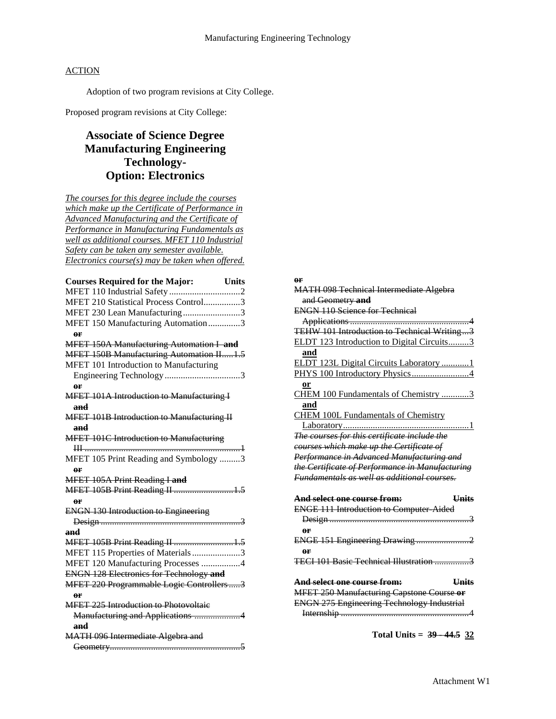Adoption of two program revisions at City College.

Proposed program revisions at City College:

# **Associate of Science Degree Manufacturing Engineering Technology-Option: Electronics**

*The courses for this degree include the courses which make up the Certificate of Performance in Advanced Manufacturing and the Certificate of Performance in Manufacturing Fundamentals as well as additional courses. MFET 110 Industrial Safety can be taken any semester available. Electronics course(s) may be taken when offered.*

| <b>Courses Required for the Major:</b><br><b>Units</b> |
|--------------------------------------------------------|
|                                                        |
| MFET 210 Statistical Process Control3                  |
| MFET 230 Lean Manufacturing3                           |
| MFET 150 Manufacturing Automation3                     |
| or                                                     |
| MFET 150A Manufacturing Automation I and               |
| MFET 150B Manufacturing Automation II1.5               |
| MFET 101 Introduction to Manufacturing                 |
|                                                        |
| 0 <sup>r</sup>                                         |
| <b>MFET 101A Introduction to Manufacturing I</b>       |
| and                                                    |
| <b>MFET 101B Introduction to Manufacturing II</b>      |
| and                                                    |
| <b>MFET 101C Introduction to Manufacturing</b>         |
|                                                        |
| MFET 105 Print Reading and Symbology 3                 |
| or                                                     |
| MFET 105A Print Reading I and                          |
| MFET 105B Print Reading II 1.5                         |
| 0 <sup>r</sup>                                         |
| <b>ENGN 130 Introduction to Engineering</b>            |
|                                                        |
| and                                                    |
| MFET 105B Print Reading II  1.5                        |
| MFET 115 Properties of Materials3                      |
| MFET 120 Manufacturing Processes 4                     |
| <b>ENGN 128 Electronics for Technology and</b>         |
| MFET 220 Programmable Logic Controllers3               |
| 0 <sup>r</sup>                                         |
| <b>MFET 225 Introduction to Photovoltaic</b>           |
| Manufacturing and Applications 4                       |
| and                                                    |
| MATH 096 Intermediate Algebra and                      |
|                                                        |

#### **or**

| <b>MATH 098 Technical Intermediate Algebra</b>         |
|--------------------------------------------------------|
| and Geometry and                                       |
| <b>ENGN 110 Science for Technical</b>                  |
|                                                        |
| TEHW 101 Introduction to Technical Writing3            |
| ELDT 123 Introduction to Digital Circuits3             |
| and                                                    |
| ELDT 123L Digital Circuits Laboratory 1                |
| PHYS 100 Introductory Physics4                         |
| or                                                     |
| CHEM 100 Fundamentals of Chemistry 3                   |
| and                                                    |
| <b>CHEM 100L Fundamentals of Chemistry</b>             |
|                                                        |
| The courses for this certificate include the           |
| courses which make up the Certificate of               |
| Performance in Advanced Manufacturing and              |
| the Certificate of Performance in Manufacturing        |
| <b>Fundamentals as well as additional courses.</b>     |
|                                                        |
| <b>Units</b><br><del>And select one course from:</del> |
|                                                        |
| <b>ENGE 111 Introduction to Computer Aided</b>         |
|                                                        |
| oг                                                     |
| ENGE 151 Engineering Drawing2                          |
| or<br>TECI 101 Basic Technical Illustration 3          |
|                                                        |
| And select one course from:<br><b>Units</b>            |
| MFET 250 Manufacturing Capstone Course or              |
| <b>ENGN 275 Engineering Technology Industrial</b>      |

**Total Units = 39 - 44.5 32**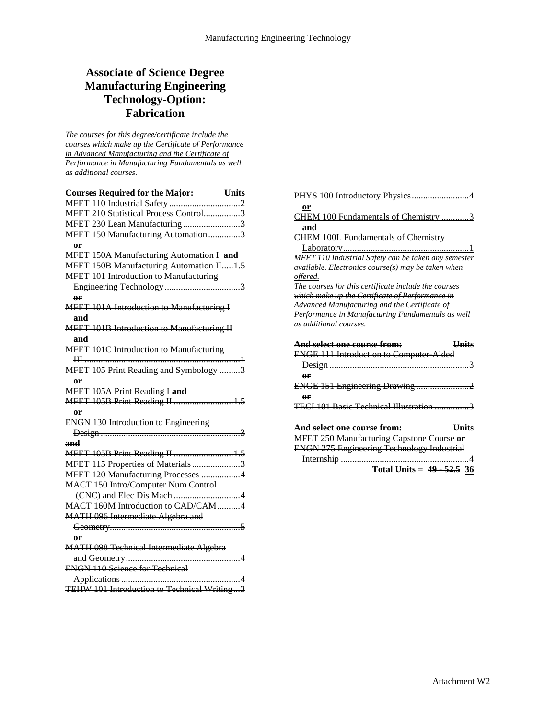# **Associate of Science Degree Manufacturing Engineering Technology-Option: Fabrication**

*The courses for this degree/certificate include the courses which make up the Certificate of Performance in Advanced Manufacturing and the Certificate of Performance in Manufacturing Fundamentals as well as additional courses.*

| <b>Courses Required for the Major:</b> Units      |  |
|---------------------------------------------------|--|
|                                                   |  |
| MFET 210 Statistical Process Control3             |  |
| MFET 230 Lean Manufacturing3                      |  |
| MFET 150 Manufacturing Automation3                |  |
| 0 <sup>r</sup>                                    |  |
| MFET 150A Manufacturing Automation I and          |  |
| MFET 150B Manufacturing Automation II1.5          |  |
| MFET 101 Introduction to Manufacturing            |  |
| 0 <sup>r</sup>                                    |  |
| <b>MFET 101A Introduction to Manufacturing I</b>  |  |
| and                                               |  |
| <b>MFET 101B Introduction to Manufacturing II</b> |  |
| and                                               |  |
| <b>MFET 101C Introduction to Manufacturing</b>    |  |
| MFET 105 Print Reading and Symbology 3            |  |
| 0 <sup>r</sup>                                    |  |
| MFET 105A Print Reading I and                     |  |
| MFET 105B Print Reading II 1.5                    |  |
| or                                                |  |
| <b>ENGN 130 Introduction to Engineering</b>       |  |
|                                                   |  |
| and                                               |  |
| MFET 105B Print Reading II 1.5                    |  |
| MFET 115 Properties of Materials3                 |  |
| MFET 120 Manufacturing Processes 4                |  |
| MACT 150 Intro/Computer Num Control               |  |
|                                                   |  |
| MACT 160M Introduction to CAD/CAM4                |  |
| MATH 096 Intermediate Algebra and                 |  |
|                                                   |  |
| or                                                |  |
| <b>MATH 098 Technical Intermediate Algebra</b>    |  |
|                                                   |  |
| <b>ENGN 110 Science for Technical</b>             |  |
|                                                   |  |
| TEHW 101 Introduction to Technical Writing3       |  |

| or                                                          |
|-------------------------------------------------------------|
| CHEM 100 Fundamentals of Chemistry 3                        |
| and                                                         |
| <b>CHEM 100L Fundamentals of Chemistry</b>                  |
|                                                             |
|                                                             |
| <b>MFET 110 Industrial Safety can be taken any semester</b> |
| available. Electronics course(s) may be taken when          |
| offered.                                                    |
| The courses for this certificate include the courses        |
| which make up the Certificate of Performance in             |
| Advanced Manufacturing and the Certificate of               |
| Performance in Manufacturing Fundamentals as well           |
| as additional courses.                                      |
|                                                             |
|                                                             |
| And select one course from:<br><b>Units</b>                 |
| <b>ENGE 111 Introduction to Computer Aided</b>              |
|                                                             |
| or                                                          |
| ENGE 151 Engineering Drawing2                               |
| or                                                          |
| <b>TECI 101 Basic Technical Illustration</b>                |
|                                                             |
| And select one course from:<br><b>Units</b>                 |
|                                                             |
| MFET 250 Manufacturing Capstone Course or                   |
| <b>ENGN 275 Engineering Technology Industrial</b><br>Δ      |
| Total Units = $49 - 52.536$                                 |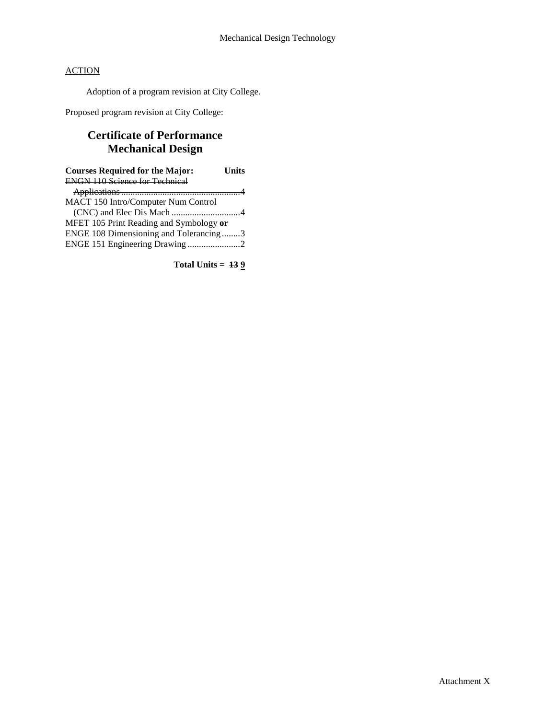Adoption of a program revision at City College.

Proposed program revision at City College:

# **Certificate of Performance Mechanical Design**

| <b>Courses Required for the Major:</b>         | Units |
|------------------------------------------------|-------|
| <b>ENGN 110 Science for Technical</b>          |       |
|                                                |       |
| MACT 150 Intro/Computer Num Control            |       |
|                                                |       |
| <b>MFET 105 Print Reading and Symbology or</b> |       |
| ENGE 108 Dimensioning and Tolerancing3         |       |
| ENGE 151 Engineering Drawing 2                 |       |

**Total Units = 13 9**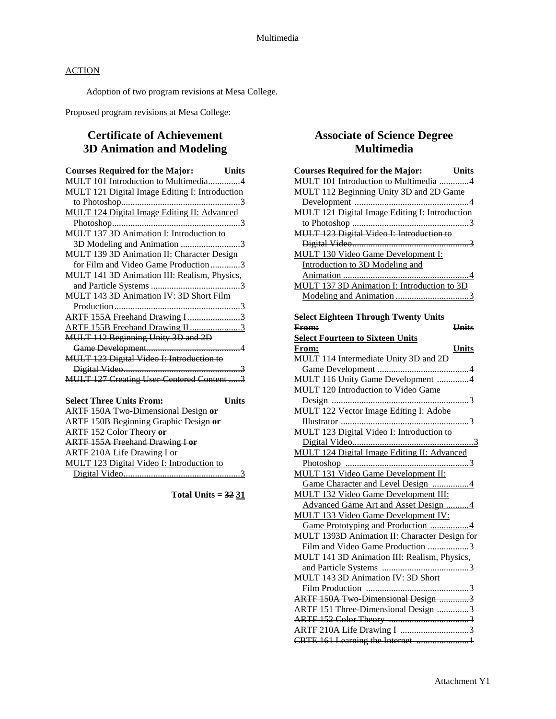Adoption of two program revisions at Mesa College.

Proposed program revisions at Mesa College:

# **Certificate of Achievement 3D Animation and Modeling**

| <b>Courses Required for the Major:</b><br><b>Units</b> |              |
|--------------------------------------------------------|--------------|
| MULT 101 Introduction to Multimedia4                   |              |
| MULT 121 Digital Image Editing I: Introduction         |              |
|                                                        |              |
| <b>MULT 124 Digital Image Editing II: Advanced</b>     |              |
|                                                        |              |
| MULT 137 3D Animation I: Introduction to               |              |
| 3D Modeling and Animation 3                            |              |
| MULT 139 3D Animation II: Character Design             |              |
| for Film and Video Game Production3                    |              |
| MULT 141 3D Animation III: Realism, Physics,           |              |
|                                                        |              |
| MULT 143 3D Animation IV: 3D Short Film                |              |
|                                                        |              |
| ARTF 155A Freehand Drawing I 3                         |              |
| ARTF 155B Freehand Drawing II3                         |              |
| MULT 112 Beginning Unity 3D and 2D                     |              |
|                                                        |              |
| MULT 123 Digital Video I: Introduction to              |              |
|                                                        |              |
| <b>MULT 127 Creating User-Centered Content 3</b>       |              |
|                                                        |              |
| <b>Select Three Units From:</b>                        | <b>Units</b> |
| ARTF 150A Two-Dimensional Design or                    |              |
| <b>ARTF 150B Beginning Graphic Design or</b>           |              |

| <b>ARTF 150B Beginning Graphic Design or</b> |  |
|----------------------------------------------|--|
| ARTF 152 Color Theory or                     |  |
| <b>ARTF 155A Freehand Drawing I or</b>       |  |
| ARTF 210A Life Drawing I or                  |  |
| MULT 123 Digital Video I: Introduction to    |  |
|                                              |  |

**Total Units = 32 31**

# **Associate of Science Degree Multimedia**

| <b>Courses Required for the Major:</b> Units<br>MULT 101 Introduction to Multimedia 4 |              |
|---------------------------------------------------------------------------------------|--------------|
| MULT 112 Beginning Unity 3D and 2D Game                                               |              |
|                                                                                       |              |
| MULT 121 Digital Image Editing I: Introduction                                        |              |
|                                                                                       |              |
| MULT 123 Digital Video I: Introduction to                                             |              |
|                                                                                       |              |
| <b>MULT 130 Video Game Development I:</b>                                             |              |
| Introduction to 3D Modeling and                                                       |              |
|                                                                                       |              |
| MULT 137 3D Animation I: Introduction to 3D                                           |              |
|                                                                                       |              |
|                                                                                       |              |
| <b>Select Eighteen Through Twenty Units</b>                                           |              |
| From:                                                                                 | <b>Units</b> |
| <b>Select Fourteen to Sixteen Units</b>                                               |              |
| From:                                                                                 | Units        |
| MULT 114 Intermediate Unity 3D and 2D                                                 |              |
|                                                                                       |              |
| MULT 116 Unity Game Development 4                                                     |              |
| MULT 120 Introduction to Video Game                                                   |              |
|                                                                                       |              |
| MULT 122 Vector Image Editing I: Adobe                                                |              |
|                                                                                       |              |
| <b>MULT 123 Digital Video I: Introduction to</b>                                      |              |
|                                                                                       |              |
| MULT 124 Digital Image Editing II: Advanced                                           |              |
|                                                                                       |              |
| <b>MULT 131 Video Game Development II:</b>                                            |              |
| Game Character and Level Design 4                                                     |              |
| <b>MULT 132 Video Game Development III:</b>                                           |              |
| Advanced Game Art and Asset Design 4                                                  |              |
| <b>MULT 133 Video Game Development IV:</b>                                            |              |
| Game Prototyping and Production 4                                                     |              |
| MULT 1393D Animation II: Character Design for                                         |              |
| Film and Video Game Production 3                                                      |              |
| MULT 141 3D Animation III: Realism, Physics,                                          |              |
|                                                                                       |              |
| MULT 143 3D Animation IV: 3D Short                                                    |              |
| Film Production<br>3                                                                  |              |
| ARTF 150A Two Dimensional Design 3                                                    |              |
| ARTF 151 Three Dimensional Design 3                                                   |              |
|                                                                                       |              |
|                                                                                       |              |
| CBTE 161 Learning the Internet 1                                                      |              |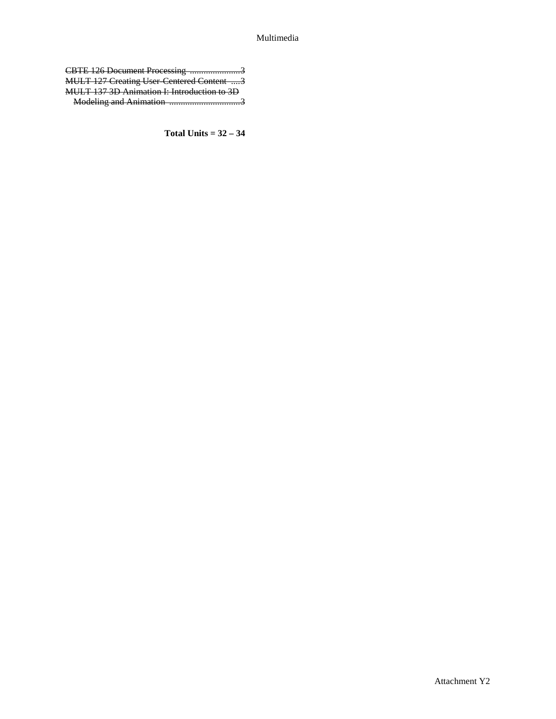## Multimedia

| CBTE 126 Document Processing 3                   |  |
|--------------------------------------------------|--|
| <b>MULT 127 Creating User Centered Content 3</b> |  |
| MULT 137 3D Animation I: Introduction to 3D      |  |
|                                                  |  |

**Total Units = 32 – 34**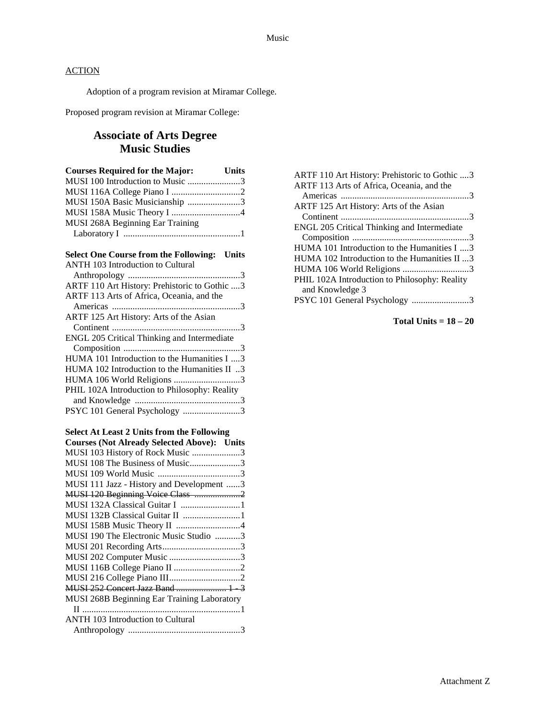Adoption of a program revision at Miramar College.

Proposed program revision at Miramar College:

# **Associate of Arts Degree Music Studies**

| <b>Courses Required for the Major:</b> | <b>Units</b> |
|----------------------------------------|--------------|
| MUSI 100 Introduction to Music 3       |              |
|                                        |              |
| MUSI 150A Basic Musicianship 3         |              |
| MUSI 158A Music Theory I 4             |              |
| MUSI 268A Beginning Ear Training       |              |
|                                        |              |
|                                        |              |

# **Select One Course from the Following: Units**

| <b>ANTH 103 Introduction to Cultural</b>      |
|-----------------------------------------------|
|                                               |
| ARTF 110 Art History: Prehistoric to Gothic 3 |
| ARTF 113 Arts of Africa, Oceania, and the     |
|                                               |
| ARTF 125 Art History: Arts of the Asian       |
|                                               |
| ENGL 205 Critical Thinking and Intermediate   |
|                                               |
| HUMA 101 Introduction to the Humanities I 3   |
| HUMA 102 Introduction to the Humanities II 3  |
| HUMA 106 World Religions 3                    |
| PHIL 102A Introduction to Philosophy: Reality |
|                                               |
| PSYC 101 General Psychology 3                 |
|                                               |

## **Select At Least 2 Units from the Following**

| <b>Courses (Not Already Selected Above): Units</b> |  |
|----------------------------------------------------|--|
| MUSI 103 History of Rock Music 3                   |  |
| MUSI 108 The Business of Music3                    |  |
|                                                    |  |
| MUSI 111 Jazz - History and Development 3          |  |
| MUSI 120 Beginning Voice Class 2                   |  |
|                                                    |  |
| MUSI 132B Classical Guitar II 1                    |  |
|                                                    |  |
| MUSI 190 The Electronic Music Studio 3             |  |
|                                                    |  |
| MUSI 202 Computer Music 3                          |  |
|                                                    |  |
|                                                    |  |
| MUSI 252 Concert Jazz Band  1 3                    |  |
| MUSI 268B Beginning Ear Training Laboratory        |  |
|                                                    |  |
| <b>ANTH 103 Introduction to Cultural</b>           |  |
|                                                    |  |
|                                                    |  |

| ARTF 110 Art History: Prehistoric to Gothic 3 |
|-----------------------------------------------|
| ARTF 113 Arts of Africa, Oceania, and the     |
|                                               |
| ARTF 125 Art History: Arts of the Asian       |
|                                               |
| ENGL 205 Critical Thinking and Intermediate   |
|                                               |
| HUMA 101 Introduction to the Humanities I 3   |
| HUMA 102 Introduction to the Humanities II 3  |
| HUMA 106 World Religions 3                    |
| PHIL 102A Introduction to Philosophy: Reality |
| and Knowledge 3                               |
| PSYC 101 General Psychology 3                 |
|                                               |

**Total Units = 18 – 20**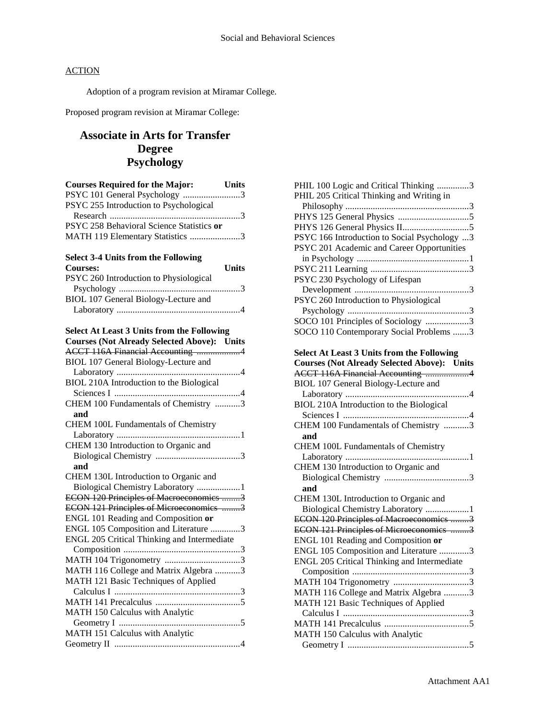Adoption of a program revision at Miramar College.

Proposed program revision at Miramar College:

# **Associate in Arts for Transfer Degree Psychology**

| <b>Courses Required for the Major:</b><br><b>Units</b><br>PSYC 101 General Psychology 3 |
|-----------------------------------------------------------------------------------------|
| PSYC 255 Introduction to Psychological                                                  |
|                                                                                         |
| PSYC 258 Behavioral Science Statistics or                                               |
| MATH 119 Elementary Statistics 3                                                        |
| <b>Select 3-4 Units from the Following</b>                                              |
| Units<br><b>Courses:</b>                                                                |
| PSYC 260 Introduction to Physiological                                                  |
| BIOL 107 General Biology-Lecture and                                                    |
|                                                                                         |
|                                                                                         |
| <b>Select At Least 3 Units from the Following</b>                                       |
| <b>Courses (Not Already Selected Above): Units</b>                                      |
| ACCT 116A Financial Accounting 4                                                        |
| BIOL 107 General Biology-Lecture and                                                    |
| BIOL 210A Introduction to the Biological                                                |
|                                                                                         |
| CHEM 100 Fundamentals of Chemistry 3                                                    |
| and                                                                                     |
| CHEM 100L Fundamentals of Chemistry                                                     |
|                                                                                         |
| CHEM 130 Introduction to Organic and                                                    |
|                                                                                         |
| and                                                                                     |
| CHEM 130L Introduction to Organic and                                                   |
| Biological Chemistry Laboratory 1<br>ECON 120 Principles of Macroeconomics 3            |
| ECON 121 Principles of Microeconomics 3                                                 |
| ENGL 101 Reading and Composition or                                                     |
| ENGL 105 Composition and Literature 3                                                   |
| ENGL 205 Critical Thinking and Intermediate                                             |
|                                                                                         |
| MATH 104 Trigonometry 3                                                                 |
| MATH 116 College and Matrix Algebra 3                                                   |
| MATH 121 Basic Techniques of Applied                                                    |
|                                                                                         |
|                                                                                         |
| MATH 150 Calculus with Analytic                                                         |
| MATH 151 Calculus with Analytic                                                         |
|                                                                                         |

| PHIL 100 Logic and Critical Thinking 3             |
|----------------------------------------------------|
| PHIL 205 Critical Thinking and Writing in          |
|                                                    |
|                                                    |
|                                                    |
| PSYC 166 Introduction to Social Psychology 3       |
| PSYC 201 Academic and Career Opportunities         |
|                                                    |
|                                                    |
| PSYC 230 Psychology of Lifespan                    |
|                                                    |
| PSYC 260 Introduction to Physiological             |
|                                                    |
| SOCO 101 Principles of Sociology 3                 |
| SOCO 110 Contemporary Social Problems 3            |
| <b>Select At Least 3 Units from the Following</b>  |
| <b>Courses (Not Already Selected Above): Units</b> |
| ACCT 116A Financial Accounting 4                   |
| BIOL 107 General Biology-Lecture and               |
|                                                    |
| BIOL 210A Introduction to the Biological           |
|                                                    |
| CHEM 100 Fundamentals of Chemistry 3               |
| and                                                |
| CHEM 100L Fundamentals of Chemistry                |
|                                                    |
| CHEM 130 Introduction to Organic and               |
|                                                    |
| and                                                |
| CHEM 130L Introduction to Organic and              |
| Biological Chemistry Laboratory 1                  |
| ECON 120 Principles of Macroeconomics 3            |
| ECON 121 Principles of Microeconomics 3            |
| ENGL 101 Reading and Composition or                |
| ENGL 105 Composition and Literature 3              |
| ENGL 205 Critical Thinking and Intermediate        |
|                                                    |
|                                                    |
| MATH 116 College and Matrix Algebra 3              |
| MATH 121 Basic Techniques of Applied               |
|                                                    |
|                                                    |
|                                                    |
| MATH 150 Calculus with Analytic                    |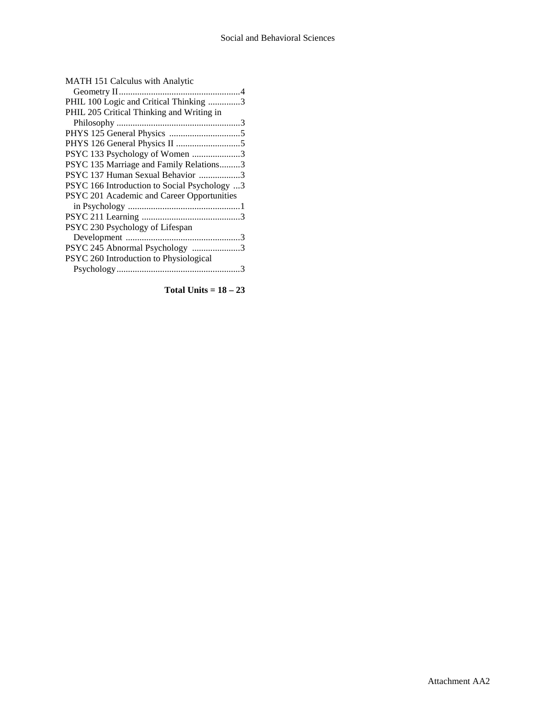| MATH 151 Calculus with Analytic              |
|----------------------------------------------|
|                                              |
| PHIL 100 Logic and Critical Thinking 3       |
| PHIL 205 Critical Thinking and Writing in    |
|                                              |
|                                              |
|                                              |
| PSYC 133 Psychology of Women 3               |
| PSYC 135 Marriage and Family Relations3      |
| PSYC 137 Human Sexual Behavior 3             |
| PSYC 166 Introduction to Social Psychology 3 |
| PSYC 201 Academic and Career Opportunities   |
|                                              |
|                                              |
| PSYC 230 Psychology of Lifespan              |
|                                              |
| PSYC 245 Abnormal Psychology 3               |
| PSYC 260 Introduction to Physiological       |
|                                              |
|                                              |

**Total Units = 18 – 23**